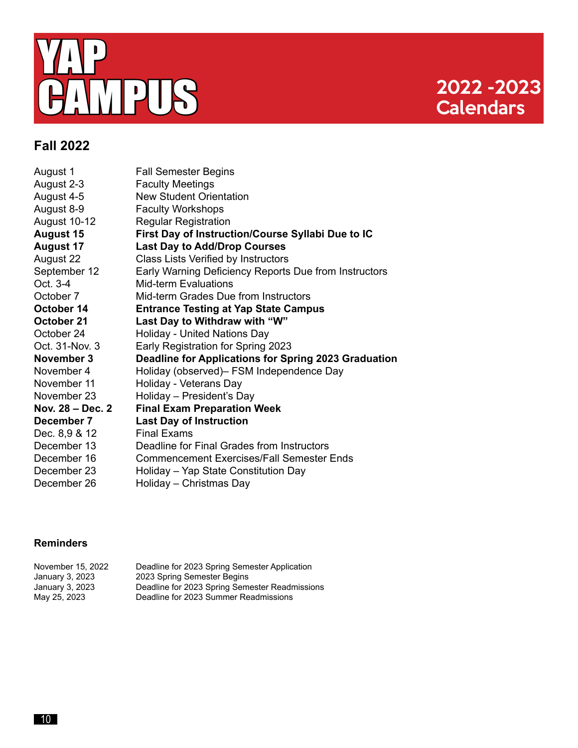

## **Calendars**

#### **Fall 2022**

| August 1         | <b>Fall Semester Begins</b>                           |
|------------------|-------------------------------------------------------|
| August 2-3       | <b>Faculty Meetings</b>                               |
| August 4-5       | <b>New Student Orientation</b>                        |
| August 8-9       | <b>Faculty Workshops</b>                              |
| August 10-12     | <b>Regular Registration</b>                           |
| <b>August 15</b> | First Day of Instruction/Course Syllabi Due to IC     |
| <b>August 17</b> | <b>Last Day to Add/Drop Courses</b>                   |
| August 22        | Class Lists Verified by Instructors                   |
| September 12     | Early Warning Deficiency Reports Due from Instructors |
| Oct. 3-4         | <b>Mid-term Evaluations</b>                           |
| October 7        | Mid-term Grades Due from Instructors                  |
| October 14       | <b>Entrance Testing at Yap State Campus</b>           |
| October 21       | Last Day to Withdraw with "W"                         |
| October 24       | Holiday - United Nations Day                          |
| Oct. 31-Nov. 3   | Early Registration for Spring 2023                    |
| November 3       | Deadline for Applications for Spring 2023 Graduation  |
| November 4       | Holiday (observed) – FSM Independence Day             |
| November 11      | Holiday - Veterans Day                                |
| November 23      | Holiday - President's Day                             |
| Nov. 28 – Dec. 2 | <b>Final Exam Preparation Week</b>                    |
| December 7       | <b>Last Day of Instruction</b>                        |
| Dec. 8,9 & 12    | <b>Final Exams</b>                                    |
| December 13      | Deadline for Final Grades from Instructors            |
| December 16      | <b>Commencement Exercises/Fall Semester Ends</b>      |
| December 23      | Holiday - Yap State Constitution Day                  |
| December 26      | Holiday - Christmas Day                               |

#### **Reminders**

| November 15, 2022 | Deadline for 2023 Spring Semester Application  |
|-------------------|------------------------------------------------|
| January 3, 2023   | 2023 Spring Semester Begins                    |
| January 3, 2023   | Deadline for 2023 Spring Semester Readmissions |
| May 25, 2023      | Deadline for 2023 Summer Readmissions          |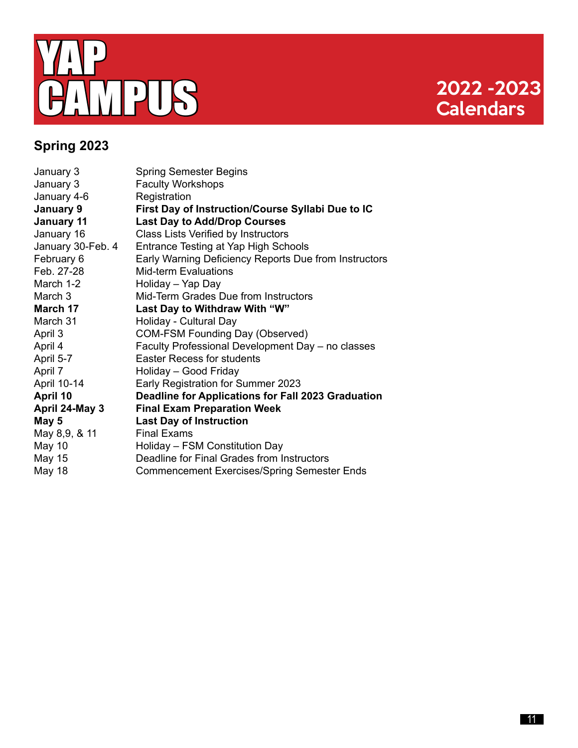

# **Calendars**

### **Spring 2023**

| January 3         | <b>Spring Semester Begins</b>                         |
|-------------------|-------------------------------------------------------|
| January 3         | <b>Faculty Workshops</b>                              |
| January 4-6       | Registration                                          |
| January 9         | First Day of Instruction/Course Syllabi Due to IC     |
| <b>January 11</b> | <b>Last Day to Add/Drop Courses</b>                   |
| January 16        | Class Lists Verified by Instructors                   |
| January 30-Feb. 4 | Entrance Testing at Yap High Schools                  |
| February 6        | Early Warning Deficiency Reports Due from Instructors |
| Feb. 27-28        | <b>Mid-term Evaluations</b>                           |
| March 1-2         | Holiday - Yap Day                                     |
| March 3           | Mid-Term Grades Due from Instructors                  |
| March 17          | Last Day to Withdraw With "W"                         |
| March 31          | Holiday - Cultural Day                                |
| April 3           | <b>COM-FSM Founding Day (Observed)</b>                |
| April 4           | Faculty Professional Development Day - no classes     |
| April 5-7         | <b>Easter Recess for students</b>                     |
| April 7           | Holiday - Good Friday                                 |
| April 10-14       | Early Registration for Summer 2023                    |
| April 10          | Deadline for Applications for Fall 2023 Graduation    |
| April 24-May 3    | <b>Final Exam Preparation Week</b>                    |
| May 5             | <b>Last Day of Instruction</b>                        |
| May 8,9, & 11     | <b>Final Exams</b>                                    |
| <b>May 10</b>     | Holiday - FSM Constitution Day                        |
| May 15            | Deadline for Final Grades from Instructors            |
| May 18            | <b>Commencement Exercises/Spring Semester Ends</b>    |